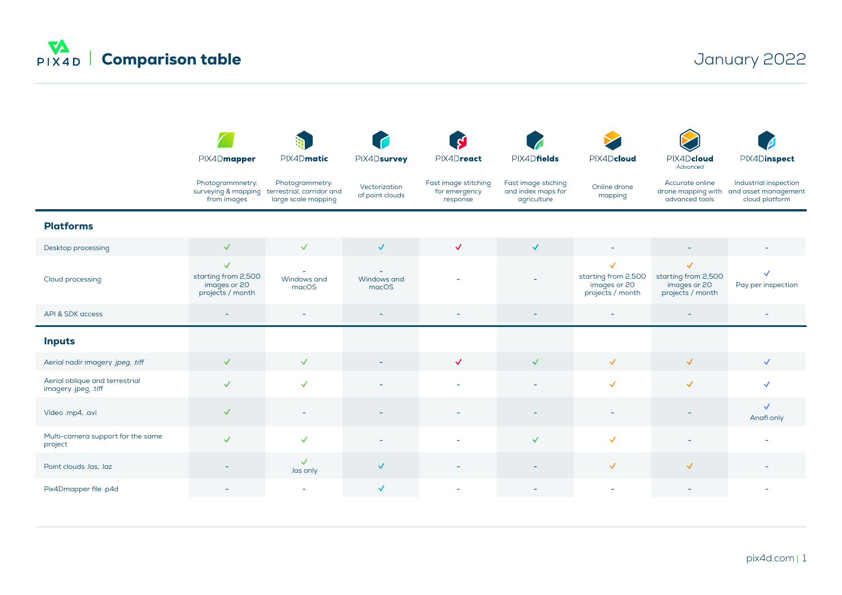

|                                                        | PIX4Dmapper                                                             | PIX4Dmatic                                                          | PIX4Dsurvey                      | PIX4Dreact                                        | PIX4Dfields                                              | PIX4Dcloud                                                              | PIX4Dcloud<br>Advanced                                                  | PIX4Dinspect                                                                       |
|--------------------------------------------------------|-------------------------------------------------------------------------|---------------------------------------------------------------------|----------------------------------|---------------------------------------------------|----------------------------------------------------------|-------------------------------------------------------------------------|-------------------------------------------------------------------------|------------------------------------------------------------------------------------|
|                                                        | Photogrammnetry:<br>surveying & mapping<br>from images                  | Photogrammetry:<br>terrestrial, corridor and<br>large scale mapping | Vectorization<br>of point clouds | Fast image stitching<br>for emergency<br>response | Fast image stiching<br>and index maps for<br>agriculture | Online drone<br>mapping                                                 | Accurate online<br>advanced tools                                       | Industrial inspection<br>drone mapping with and asset management<br>cloud platform |
| <b>Platforms</b>                                       |                                                                         |                                                                     |                                  |                                                   |                                                          |                                                                         |                                                                         |                                                                                    |
| Desktop processing                                     | $\checkmark$                                                            | $\checkmark$                                                        | $\checkmark$                     | $\checkmark$                                      | $\checkmark$                                             |                                                                         |                                                                         |                                                                                    |
| Cloud processing                                       | $\checkmark$<br>starting from 2,500<br>images or 20<br>projects / month | $\overline{\phantom{0}}$<br>Windows and<br>macOS                    | Windows and<br>macOS             |                                                   |                                                          | $\checkmark$<br>starting from 2,500<br>images or 20<br>projects / month | $\checkmark$<br>starting from 2,500<br>images or 20<br>projects / month | $\checkmark$<br>Pay per inspection                                                 |
| API & SDK access                                       | $\overline{\phantom{a}}$                                                | $\overline{\phantom{a}}$                                            | $\overline{\phantom{a}}$         |                                                   | $\overline{\phantom{a}}$                                 | $\equiv$                                                                | $\overline{\phantom{a}}$                                                |                                                                                    |
| <b>Inputs</b>                                          |                                                                         |                                                                     |                                  |                                                   |                                                          |                                                                         |                                                                         |                                                                                    |
| Aerial nadir imagery .jpeg, .tiff                      | $\checkmark$                                                            | $\checkmark$                                                        |                                  | $\checkmark$                                      | $\checkmark$                                             | $\checkmark$                                                            | $\checkmark$                                                            | $\checkmark$                                                                       |
| Aerial oblique and terrestrial<br>imagery .jpeg, .tiff | $\checkmark$                                                            | $\checkmark$                                                        | $\overline{\phantom{a}}$         |                                                   | $\overline{\phantom{a}}$                                 | $\checkmark$                                                            | $\checkmark$                                                            | $\checkmark$                                                                       |
| Video .mp4, .avi                                       | $\checkmark$                                                            | $\equiv$                                                            |                                  |                                                   |                                                          |                                                                         |                                                                         | $\checkmark$<br>Anafi only                                                         |
| Multi-camera support for the same<br>project           | $\checkmark$                                                            | $\checkmark$                                                        |                                  |                                                   | $\checkmark$                                             | $\checkmark$                                                            |                                                                         |                                                                                    |
| Point clouds .las, .laz                                | $\overline{\phantom{a}}$                                                | $\checkmark$<br>las only                                            | $\checkmark$                     | $\overline{\phantom{a}}$                          | $\overline{\phantom{a}}$                                 | $\checkmark$                                                            | $\checkmark$                                                            |                                                                                    |
| Pix4Dmapper file .p4d                                  |                                                                         |                                                                     | $\checkmark$                     |                                                   |                                                          |                                                                         |                                                                         |                                                                                    |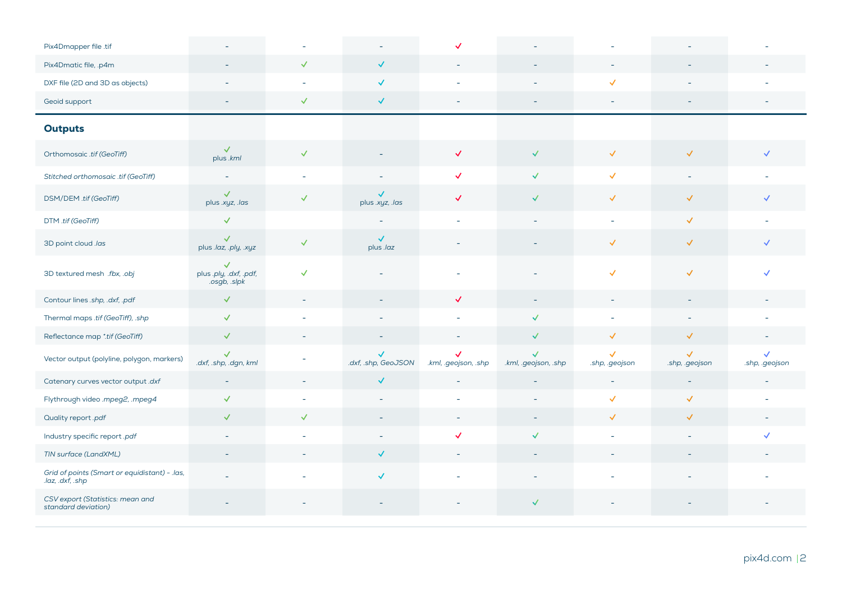| Pix4Dmapper file .tif                                             |                                                        |                |                                     |                          |                                      |                                |                                |                                |
|-------------------------------------------------------------------|--------------------------------------------------------|----------------|-------------------------------------|--------------------------|--------------------------------------|--------------------------------|--------------------------------|--------------------------------|
| Pix4Dmatic file, .p4m                                             |                                                        | $\checkmark$   | $\checkmark$                        | $\overline{\phantom{a}}$ | $\overline{\phantom{a}}$             | $\overline{\phantom{0}}$       |                                |                                |
| DXF file (2D and 3D as objects)                                   | $\blacksquare$                                         | $\overline{a}$ | $\checkmark$                        |                          | $\sim$                               | $\checkmark$                   |                                |                                |
| Geoid support                                                     | $\overline{\phantom{a}}$                               | $\checkmark$   | $\checkmark$                        | ۰                        | ÷,                                   | $\overline{a}$                 | ٠                              |                                |
| <b>Outputs</b>                                                    |                                                        |                |                                     |                          |                                      |                                |                                |                                |
| Orthomosaic .tif (GeoTiff)                                        | $\checkmark$<br>plus .kml                              | $\checkmark$   |                                     | $\checkmark$             | $\checkmark$                         | $\checkmark$                   | $\checkmark$                   | $\checkmark$                   |
| Stitched orthomosaic .tif (GeoTiff)                               | $\overline{\phantom{a}}$                               | L.             | $\sim$                              | $\checkmark$             | $\checkmark$                         | $\checkmark$                   | $\bar{a}$                      |                                |
| DSM/DEM.tif (GeoTiff)                                             | $\checkmark$<br>plus .xyz, .las                        | $\checkmark$   | $\checkmark$<br>plus .xyz, .las     | $\checkmark$             | $\checkmark$                         | $\checkmark$                   | $\checkmark$                   | $\checkmark$                   |
| DTM .tif (GeoTiff)                                                | $\checkmark$                                           |                | $\sim$                              | $\sim$                   | $\overline{\phantom{a}}$             | $\sim$                         | $\checkmark$                   | $\sim$                         |
| 3D point cloud .las                                               | $\checkmark$<br>plus .laz, .ply, .xyz                  | $\checkmark$   | $\checkmark$<br>plus .laz           | ۰                        | $\sim$                               | $\checkmark$                   | $\checkmark$                   | $\checkmark$                   |
| 3D textured mesh .fbx, .obj                                       | $\checkmark$<br>plus .ply, .dxf, .pdf,<br>.osgb, .slpk | $\checkmark$   |                                     |                          | $\overline{\phantom{0}}$             | $\checkmark$                   | $\checkmark$                   | $\checkmark$                   |
| Contour lines .shp, .dxf, .pdf                                    | $\checkmark$                                           |                |                                     | $\checkmark$             | $\overline{a}$                       | $\overline{a}$                 |                                |                                |
| Thermal maps .tif (GeoTiff), .shp                                 | $\checkmark$                                           |                | ۰                                   | ٠                        | $\checkmark$                         | $\overline{a}$                 | $\overline{a}$                 | L.                             |
| Reflectance map *.tif (GeoTiff)                                   | $\checkmark$                                           | $\bar{a}$      |                                     | $\overline{\phantom{a}}$ | $\checkmark$                         | $\checkmark$                   | $\checkmark$                   | $\overline{\phantom{0}}$       |
| Vector output (polyline, polygon, markers)                        | $\checkmark$<br>.dxf, .shp, .dgn, kml                  |                | $\checkmark$<br>.dxf, .shp, GeoJSON | .kml, .geojson, .shp     | $\checkmark$<br>.kml, .geojson, .shp | $\checkmark$<br>.shp, .geojson | $\checkmark$<br>.shp, .geojson | $\checkmark$<br>.shp, .geojson |
| Catenary curves vector output .dxf                                | $\equiv$                                               | $\equiv$       | $\checkmark$                        | $\sim$                   | ÷,                                   | $\sim$                         | $\sim$                         | $\overline{a}$                 |
| Flythrough video .mpeg2, .mpeg4                                   | $\checkmark$                                           |                | ÷,                                  |                          |                                      | $\checkmark$                   | $\checkmark$                   |                                |
| Quality report .pdf                                               | $\checkmark$                                           | $\checkmark$   | $\overline{\phantom{a}}$            | ÷,                       | $\overline{\phantom{0}}$             | $\checkmark$                   | $\checkmark$                   |                                |
| Industry specific report .pdf                                     | $\overline{\phantom{a}}$                               |                | $\overline{\phantom{a}}$            | $\checkmark$             | $\checkmark$                         | ٠                              |                                | $\checkmark$                   |
| TIN surface (LandXML)                                             |                                                        |                | $\checkmark$                        | $\overline{\phantom{a}}$ | ÷,                                   |                                |                                |                                |
| Grid of points (Smart or equidistant) - .las,<br>.laz, .dxf, .shp | ۰                                                      |                | $\checkmark$                        |                          | $\overline{a}$                       |                                |                                |                                |
| CSV export (Statistics: mean and<br>standard deviation)           |                                                        |                |                                     |                          | $\checkmark$                         |                                |                                |                                |